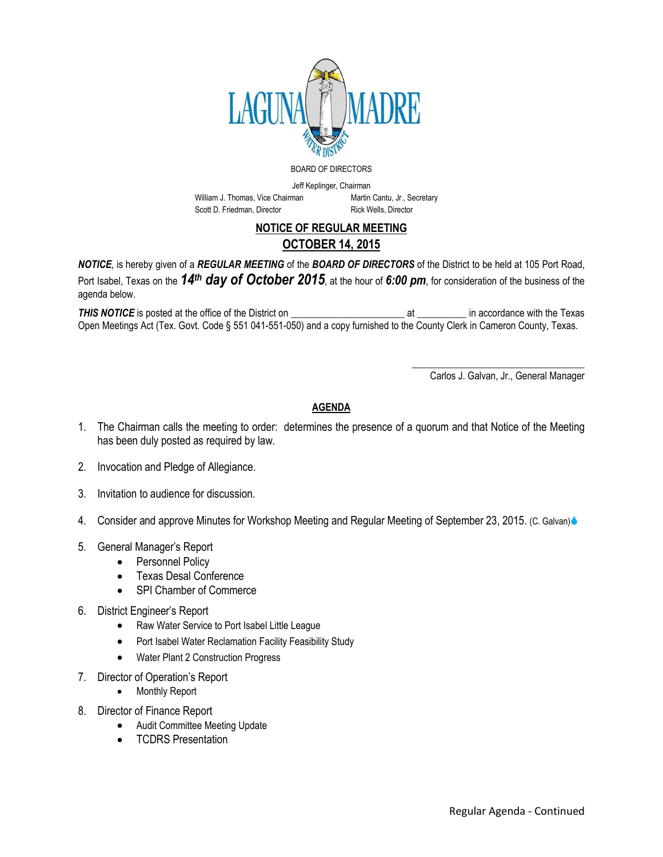

## BOARD OF DIRECTORS

Jeff Keplinger, Chairman

William J. Thomas, Vice Chairman Martin Cantu, Jr., Secretary Scott D. Friedman, Director Rick Wells, Director

## NOTICE OF REGULAR MEETING OCTOBER 14, 2015

*NOTICE*, is hereby given of a *REGULAR MEETING* of the *BOARD OF DIRECTORS* of the District to be held at 105 Port Road, Port Isabel, Texas on the *14th day of October 2015*, at the hour of *6:00 pm*, for consideration of the business of the agenda below.

*THIS NOTICE* is posted at the office of the District on \_\_\_\_\_\_\_\_\_\_\_\_\_\_\_\_\_\_\_\_\_\_\_ at \_\_\_\_\_\_\_\_\_\_ in accordance with the Texas Open Meetings Act (Tex. Govt. Code § 551 041-551-050) and a copy furnished to the County Clerk in Cameron County, Texas.

Carlos J. Galvan, Jr., General Manager

\_\_\_\_\_\_\_\_\_\_\_\_\_\_\_\_\_\_\_\_\_\_\_\_\_\_\_\_\_\_\_\_\_\_\_

## AGENDA

- 1. The Chairman calls the meeting to order: determines the presence of a quorum and that Notice of the Meeting has been duly posted as required by law.
- 2. Invocation and Pledge of Allegiance.
- 3. Invitation to audience for discussion.
- 4. Consider and approve Minutes for Workshop Meeting and Regular Meeting of September 23, 2015. (C. Galvan)
- 5. General Manager's Report
	- Personnel Policy
	- Texas Desal Conference
	- SPI Chamber of Commerce
- 6. District Engineer's Report
	- Raw Water Service to Port Isabel Little League
	- Port Isabel Water Reclamation Facility Feasibility Study
	- Water Plant 2 Construction Progress
- 7. Director of Operation's Report
	- Monthly Report
- 8. Director of Finance Report
	- Audit Committee Meeting Update
	- TCDRS Presentation